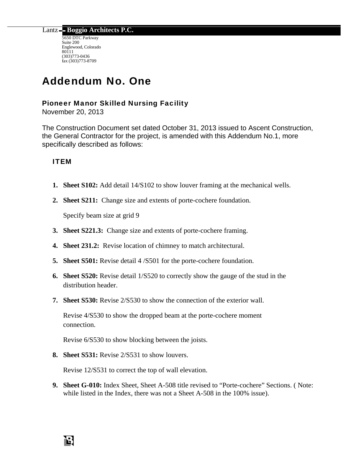Lantz **Boggio Architects P.C.** 

5650 DTC Parkway Suite 200 Englewood, Colorado 80111 (303)773-0436 fax (303)773-8709

# Addendum No. One

## Pioneer Manor Skilled Nursing Facility

November 20, 2013

The Construction Document set dated October 31, 2013 issued to Ascent Construction, the General Contractor for the project, is amended with this Addendum No.1, more specifically described as follows:

## ITEM

13

- **1. Sheet S102:** Add detail 14/S102 to show louver framing at the mechanical wells.
- **2. Sheet S211:** Change size and extents of porte-cochere foundation.

Specify beam size at grid 9

- **3. Sheet S221.3:** Change size and extents of porte-cochere framing.
- **4. Sheet 231.2:** Revise location of chimney to match architectural.
- **5. Sheet S501:** Revise detail 4 /S501 for the porte-cochere foundation.
- **6. Sheet S520:** Revise detail 1/S520 to correctly show the gauge of the stud in the distribution header.
- **7. Sheet S530:** Revise 2/S530 to show the connection of the exterior wall.

Revise 4/S530 to show the dropped beam at the porte-cochere moment connection.

Revise 6/S530 to show blocking between the joists.

**8. Sheet S531:** Revise 2/S531 to show louvers.

Revise 12/S531 to correct the top of wall elevation.

**9. Sheet G-010:** Index Sheet, Sheet A-508 title revised to "Porte-cochere" Sections. ( Note: while listed in the Index, there was not a Sheet A-508 in the 100% issue).